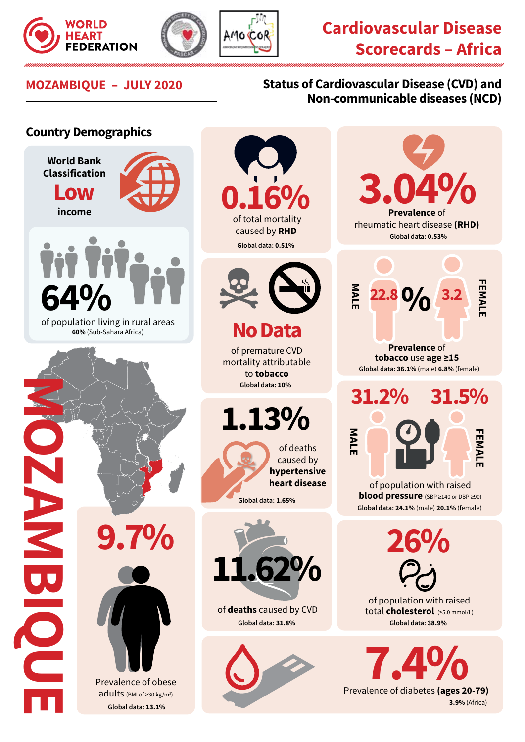





## **Cardiovascular Disease Scorecards – Africa**

## **MOZAMBIQUE – JULY 2020 Status of Cardiovascular Disease (CVD) and Non-communicable diseases (NCD)**

## **Country Demographics World Bank Classification 3.04% 0.16% Low income Prevalence** of rheumatic heart disease **(RHD)** caused by **RHD Global data: 0.53% Global data: 0.51% FEMALE MALE** EMAL **22.8 3.2 % 64%** of population living in rural areas **No Data 60%** (Sub-Sahara Africa) **Prevalence** of of premature CVD **tobacco** use **age ≥15** mortality attributable **Global data: 36.1%** (male) **6.8%** (female) to **tobacco MOZANDIQUE Global data: 10% 31.2% 31.5% 1.13% MALE** of deaths caused by **hypertensive heart disease** of population with raised NBIQUE **blood pressure** (SBP ≥140 or DBP ≥90) **Global data: 1.65% Global data: 24.1%** (male) **20.1%** (female) **9.7% 26% 11.62%** of population with raised of **deaths** caused by CVD total **cholesterol** (≥5.0 mmol/L) **Global data: 31.8% Global data: 38.9% Prevalence of diabetes (ages 20-79)** Prevalence of obese adults (BMI of ≥30 kg/m<sup>2</sup>) **3.9%** (Africa) **Global data: 13.1%**